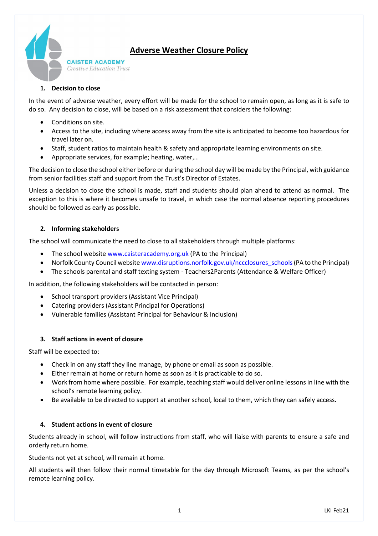

# **Adverse Weather Closure Policy**

## **1. Decision to close**

In the event of adverse weather, every effort will be made for the school to remain open, as long as it is safe to do so. Any decision to close, will be based on a risk assessment that considers the following:

- Conditions on site.
- Access to the site, including where access away from the site is anticipated to become too hazardous for travel later on.
- Staff, student ratios to maintain health & safety and appropriate learning environments on site.
- Appropriate services, for example; heating, water,…

The decision to close the school either before or during the school day will be made by the Principal, with guidance from senior facilities staff and support from the Trust's Director of Estates.

Unless a decision to close the school is made, staff and students should plan ahead to attend as normal. The exception to this is where it becomes unsafe to travel, in which case the normal absence reporting procedures should be followed as early as possible.

### **2. Informing stakeholders**

The school will communicate the need to close to all stakeholders through multiple platforms:

- The school websit[e www.caisteracademy.org.uk](http://www.caisteracademy.org.uk/) (PA to the Principal)
- Norfolk County Council website www.disruptions.norfolk.gov.uk/nccclosures\_schools (PA to the Principal)
- The schools parental and staff texting system Teachers2Parents (Attendance & Welfare Officer)

In addition, the following stakeholders will be contacted in person:

- School transport providers (Assistant Vice Principal)
- Catering providers (Assistant Principal for Operations)
- Vulnerable families (Assistant Principal for Behaviour & Inclusion)

## **3. Staff actions in event of closure**

Staff will be expected to:

- Check in on any staff they line manage, by phone or email as soon as possible.
- Either remain at home or return home as soon as it is practicable to do so.
- Work from home where possible. For example, teaching staff would deliver online lessons in line with the school's remote learning policy.
- Be available to be directed to support at another school, local to them, which they can safely access.

#### **4. Student actions in event of closure**

Students already in school, will follow instructions from staff, who will liaise with parents to ensure a safe and orderly return home.

Students not yet at school, will remain at home.

All students will then follow their normal timetable for the day through Microsoft Teams, as per the school's remote learning policy.